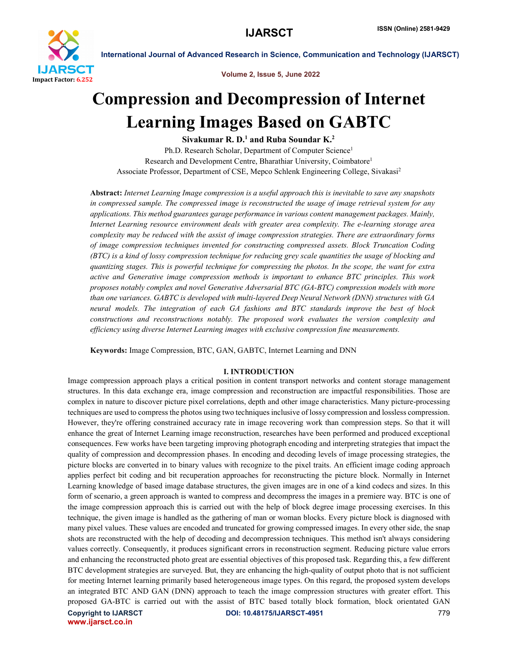

Volume 2, Issue 5, June 2022

## Compression and Decompression of Internet Learning Images Based on GABTC

Sivakumar R. D.<sup>1</sup> and Ruba Soundar K.<sup>2</sup>

Ph.D. Research Scholar, Department of Computer Science<sup>1</sup> Research and Development Centre, Bharathiar University, Coimbatore1 Associate Professor, Department of CSE, Mepco Schlenk Engineering College, Sivakasi2

Abstract: *Internet Learning Image compression is a useful approach this is inevitable to save any snapshots in compressed sample. The compressed image is reconstructed the usage of image retrieval system for any applications. This method guarantees garage performance in various content management packages. Mainly, Internet Learning resource environment deals with greater area complexity. The e-learning storage area complexity may be reduced with the assist of image compression strategies. There are extraordinary forms of image compression techniques invented for constructing compressed assets. Block Truncation Coding (BTC) is a kind of lossy compression technique for reducing grey scale quantities the usage of blocking and quantizing stages. This is powerful technique for compressing the photos. In the scope, the want for extra active and Generative image compression methods is important to enhance BTC principles. This work proposes notably complex and novel Generative Adversarial BTC (GA-BTC) compression models with more than one variances. GABTC is developed with multi-layered Deep Neural Network (DNN) structures with GA neural models. The integration of each GA fashions and BTC standards improve the best of block constructions and reconstructions notably. The proposed work evaluates the version complexity and efficiency using diverse Internet Learning images with exclusive compression fine measurements.*

Keywords: Image Compression, BTC, GAN, GABTC, Internet Learning and DNN

#### I. INTRODUCTION

Copyright to IJARSCT DOI: 10.48175/IJARSCT-4951 779 Image compression approach plays a critical position in content transport networks and content storage management structures. In this data exchange era, image compression and reconstruction are impactful responsibilities. Those are complex in nature to discover picture pixel correlations, depth and other image characteristics. Many picture-processing techniques are used to compress the photos using two techniques inclusive of lossy compression and lossless compression. However, they're offering constrained accuracy rate in image recovering work than compression steps. So that it will enhance the great of Internet Learning image reconstruction, researches have been performed and produced exceptional consequences. Few works have been targeting improving photograph encoding and interpreting strategies that impact the quality of compression and decompression phases. In encoding and decoding levels of image processing strategies, the picture blocks are converted in to binary values with recognize to the pixel traits. An efficient image coding approach applies perfect bit coding and bit recuperation approaches for reconstructing the picture block. Normally in Internet Learning knowledge of based image database structures, the given images are in one of a kind codecs and sizes. In this form of scenario, a green approach is wanted to compress and decompress the images in a premiere way. BTC is one of the image compression approach this is carried out with the help of block degree image processing exercises. In this technique, the given image is handled as the gathering of man or woman blocks. Every picture block is diagnosed with many pixel values. These values are encoded and truncated for growing compressed images. In every other side, the snap shots are reconstructed with the help of decoding and decompression techniques. This method isn't always considering values correctly. Consequently, it produces significant errors in reconstruction segment. Reducing picture value errors and enhancing the reconstructed photo great are essential objectives of this proposed task. Regarding this, a few different BTC development strategies are surveyed. But, they are enhancing the high-quality of output photo that is not sufficient for meeting Internet learning primarily based heterogeneous image types. On this regard, the proposed system develops an integrated BTC AND GAN (DNN) approach to teach the image compression structures with greater effort. This proposed GA-BTC is carried out with the assist of BTC based totally block formation, block orientated GAN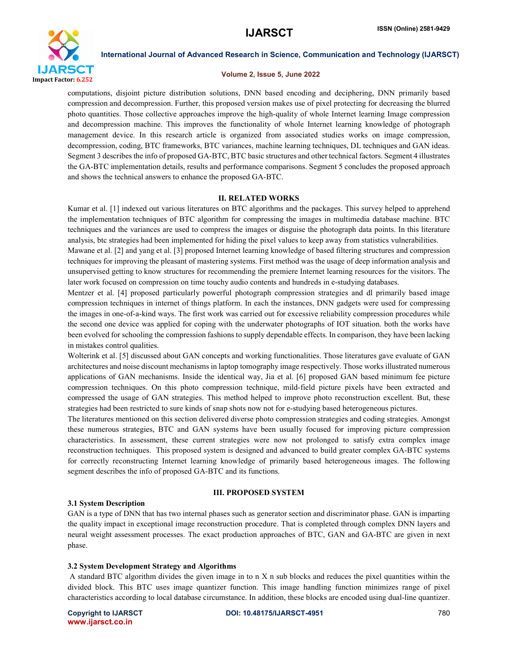

#### Volume 2, Issue 5, June 2022

computations, disjoint picture distribution solutions, DNN based encoding and deciphering, DNN primarily based compression and decompression. Further, this proposed version makes use of pixel protecting for decreasing the blurred photo quantities. Those collective approaches improve the high-quality of whole Internet learning Image compression and decompression machine. This improves the functionality of whole Internet learning knowledge of photograph management device. In this research article is organized from associated studies works on image compression, decompression, coding, BTC frameworks, BTC variances, machine learning techniques, DL techniques and GAN ideas. Segment 3 describes the info of proposed GA-BTC, BTC basic structures and other technical factors. Segment 4 illustrates the GA-BTC implementation details, results and performance comparisons. Segment 5 concludes the proposed approach and shows the technical answers to enhance the proposed GA-BTC.

#### II. RELATED WORKS

Kumar et al. [1] indexed out various literatures on BTC algorithms and the packages. This survey helped to apprehend the implementation techniques of BTC algorithm for compressing the images in multimedia database machine. BTC techniques and the variances are used to compress the images or disguise the photograph data points. In this literature analysis, btc strategies had been implemented for hiding the pixel values to keep away from statistics vulnerabilities.

Mawane et al. [2] and yang et al. [3] proposed Internet learning knowledge of based filtering structures and compression techniques for improving the pleasant of mastering systems. First method was the usage of deep information analysis and unsupervised getting to know structures for recommending the premiere Internet learning resources for the visitors. The later work focused on compression on time touchy audio contents and hundreds in e-studying databases.

Mentzer et al. [4] proposed particularly powerful photograph compression strategies and dl primarily based image compression techniques in internet of things platform. In each the instances, DNN gadgets were used for compressing the images in one-of-a-kind ways. The first work was carried out for excessive reliability compression procedures while the second one device was applied for coping with the underwater photographs of IOT situation. both the works have been evolved for schooling the compression fashions to supply dependable effects. In comparison, they have been lacking in mistakes control qualities.

Wolterink et al. [5] discussed about GAN concepts and working functionalities. Those literatures gave evaluate of GAN architectures and noise discount mechanisms in laptop tomography image respectively. Those works illustrated numerous applications of GAN mechanisms. Inside the identical way, Jia et al. [6] proposed GAN based minimum fee picture compression techniques. On this photo compression technique, mild-field picture pixels have been extracted and compressed the usage of GAN strategies. This method helped to improve photo reconstruction excellent. But, these strategies had been restricted to sure kinds of snap shots now not for e-studying based heterogeneous pictures.

The literatures mentioned on this section delivered diverse photo compression strategies and coding strategies. Amongst these numerous strategies, BTC and GAN systems have been usually focused for improving picture compression characteristics. In assessment, these current strategies were now not prolonged to satisfy extra complex image reconstruction techniques. This proposed system is designed and advanced to build greater complex GA-BTC systems for correctly reconstructing Internet learning knowledge of primarily based heterogeneous images. The following segment describes the info of proposed GA-BTC and its functions.

#### III. PROPOSED SYSTEM

#### 3.1 System Description

GAN is a type of DNN that has two internal phases such as generator section and discriminator phase. GAN is imparting the quality impact in exceptional image reconstruction procedure. That is completed through complex DNN layers and neural weight assessment processes. The exact production approaches of BTC, GAN and GA-BTC are given in next phase.

#### 3.2 System Development Strategy and Algorithms

A standard BTC algorithm divides the given image in to n X n sub blocks and reduces the pixel quantities within the divided block. This BTC uses image quantizer function. This image handling function minimizes range of pixel characteristics according to local database circumstance. In addition, these blocks are encoded using dual-line quantizer.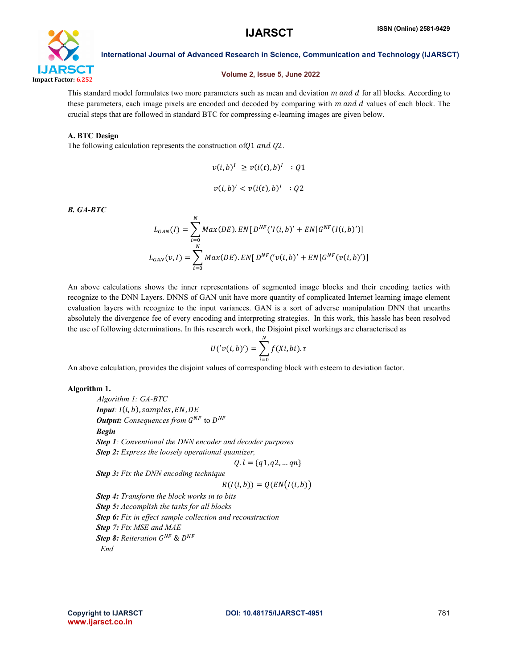

#### Volume 2, Issue 5, June 2022

This standard model formulates two more parameters such as mean and deviation  $m$  and  $d$  for all blocks. According to these parameters, each image pixels are encoded and decoded by comparing with  $m$  and  $d$  values of each block. The crucial steps that are followed in standard BTC for compressing e-learning images are given below.

### A. BTC Design

The following calculation represents the construction of  $Q1$  and  $Q2$ .

$$
v(i,b)^{I} \ge v(i(t),b)^{I} : Q1
$$
  

$$
v(i,b)^{I} < v(i(t),b)^{I} : Q2
$$

*B. GA-BTC*

$$
L_{GAN}(I) = \sum_{i=0}^{N} Max(DE). EN[D^{NF}(I(i, b)' + EN[G^{NF}(I(i, b)')]
$$

$$
L_{GAN}(v, I) = \sum_{i=0}^{N} Max(DE). EN[D^{NF}(v(i, b)' + EN[G^{NF}(v(i, b)')]
$$

An above calculations shows the inner representations of segmented image blocks and their encoding tactics with recognize to the DNN Layers. DNNS of GAN unit have more quantity of complicated Internet learning image element evaluation layers with recognize to the input variances. GAN is a sort of adverse manipulation DNN that unearths absolutely the divergence fee of every encoding and interpreting strategies. In this work, this hassle has been resolved the use of following determinations. In this research work, the Disjoint pixel workings are characterised as

$$
U('v(i,b)') = \sum_{i=0}^{N} f(Xi, bi). \tau
$$

An above calculation, provides the disjoint values of corresponding block with esteem to deviation factor.

#### Algorithm 1.

*Algorithm 1: GA-BTC*  $$ *Output: Consequences from G<sup>NF</sup> to D<sup>NF</sup> Begin Step 1: Conventional the DNN encoder and decoder purposes Step 2: Express the loosely operational quantizer,*  $Q. l = {q1, q2, ... qn}$ *Step 3: Fix the DNN encoding technique*  $R(I(i, b)) = Q(EN(I(i, b)))$ *Step 4: Transform the block works in to bits Step 5: Accomplish the tasks for all blocks Step 6: Fix in effect sample collection and reconstruction Step 7: Fix MSE and MAE Step 8: Reiteration*  $G^{NF}$  &  $D^{NF}$ *End*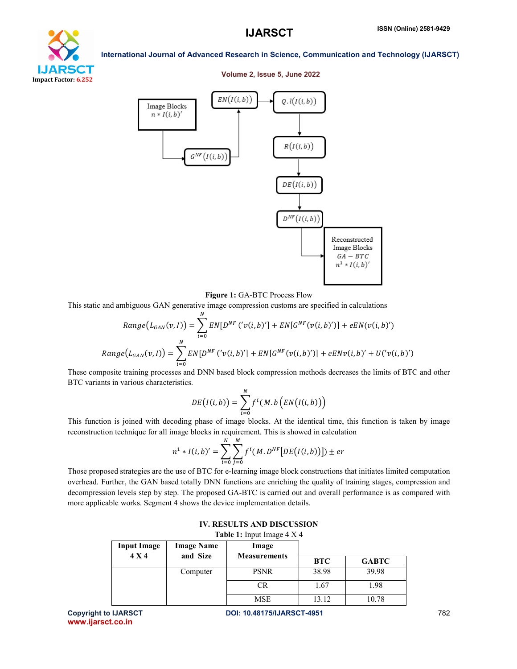# oan Impact Factor: 6.252

## Volume 2, Issue 5, June 2022

International Journal of Advanced Research in Science, Communication and Technology (IJARSCT)



Figure 1: GA-BTC Process Flow

This static and ambiguous GAN generative image compression customs are specified in calculations

$$
Range(L_{GAN}(v, I)) = \sum_{i=0}^{N} EN[D^{NF} (v(i, b)'] + EN[G^{NF}(v(i, b)')] + eEN(v(i, b)')
$$
  

$$
Range(L_{GAN}(v, I)) = \sum_{i=0}^{N} EN[D^{NF} (v(i, b)'] + EN[G^{NF}(v(i, b)')] + eENv(i, b)' + U(v(i, b)')
$$

These composite training processes and DNN based block compression methods decreases the limits of BTC and other BTC variants in various characteristics.

$$
DE(I(i,b)) = \sum_{i=0}^{N} f^{i}(M.b (EN(I(i,b)))
$$

This function is joined with decoding phase of image blocks. At the identical time, this function is taken by image reconstruction technique for all image blocks in requirement. This is showed in calculation

$$
n^{1} * I(i, b)' = \sum_{i=0}^{N} \sum_{j=0}^{M} f^{i}(M, D^{NF}[DE(I(i, b))]) \pm er
$$

Those proposed strategies are the use of BTC for e-learning image block constructions that initiates limited computation overhead. Further, the GAN based totally DNN functions are enriching the quality of training stages, compression and decompression levels step by step. The proposed GA-BTC is carried out and overall performance is as compared with more applicable works. Segment 4 shows the device implementation details.

| <b>TADIC 1.</b> Hiput Hilage $\pm \Delta \pm$ |                   |                     |            |              |
|-----------------------------------------------|-------------------|---------------------|------------|--------------|
| <b>Input Image</b>                            | <b>Image Name</b> | Image               |            |              |
| 4 X 4                                         | and Size          | <b>Measurements</b> | <b>BTC</b> | <b>GABTC</b> |
|                                               | Computer          | <b>PSNR</b>         | 38.98      | 39.98        |
|                                               |                   | CR                  | 1.67       | 1.98         |
|                                               |                   | <b>MSE</b>          | 13.12      | 10.78        |

| <b>IV. RESULTS AND DISCUSSION</b>            |
|----------------------------------------------|
| <b>Tahle 1:</b> Innut Image $4 \text{ Y } 4$ |